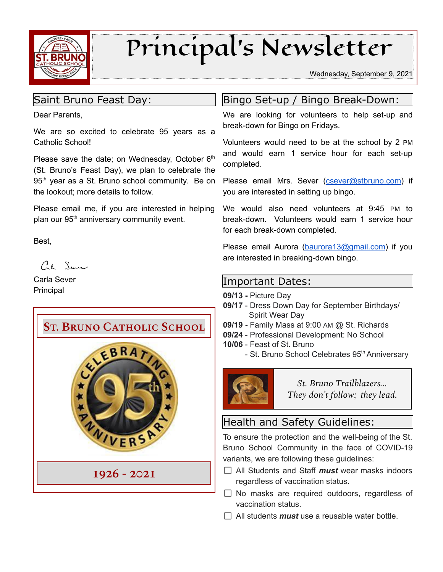

# Principal's Newsletter

Wednesday, September 9, 2021

## Saint Bruno Feast Day:

Dear Parents,

We are so excited to celebrate 95 years as a Catholic School!

Please save the date; on Wednesday, October  $6<sup>th</sup>$ (St. Bruno's Feast Day), we plan to celebrate the 95<sup>th</sup> year as a St. Bruno school community. Be on the lookout; more details to follow.

Please email me, if you are interested in helping plan our 95<sup>th</sup> anniversary community event.

Best,

 $C_{\ell}$  Sure

Carla Sever Principal



## Bingo Set-up / Bingo Break-Down:

We are looking for volunteers to help set-up and break-down for Bingo on Fridays.

Volunteers would need to be at the school by 2 PM and would earn 1 service hour for each set-up completed.

Please email Mrs. Sever ([csever@stbruno.com\)](mailto:csever@stbruno.com) if you are interested in setting up bingo.

We would also need volunteers at 9:45 PM to break-down. Volunteers would earn 1 service hour for each break-down completed.

Please email Aurora [\(baurora13@gmail.com\)](mailto:baurora13@gmail.com) if you are interested in breaking-down bingo.

### Important Dates:

- **09/13 -** Picture Day
- **09/17** Dress Down Day for September Birthdays/ Spirit Wear Day
- **09/19 -** Family Mass at 9:00 AM @ St. Richards
- **09/24** Professional Development: No School
- **10/06** Feast of St. Bruno
	- St. Bruno School Celebrates 95<sup>th</sup> Anniversary



*St. Bruno Trailblazers... They don't follow; they lead.*

# Health and Safety Guidelines:

To ensure the protection and the well-being of the St. Bruno School Community in the face of COVID-19 variants, we are following these guidelines:

- All Students and Staff *must* wear masks indoors regardless of vaccination status.
- $\Box$  No masks are required outdoors, regardless of vaccination status.
- $\Box$  All students *must* use a reusable water bottle.